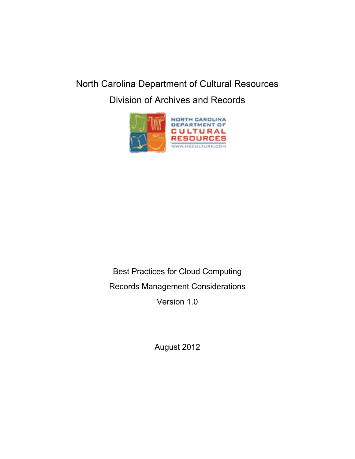# North Carolina Department of Cultural Resources

Division of Archives and Records



Best Practices for Cloud Computing

Records Management Considerations

Version 1.0

August 2012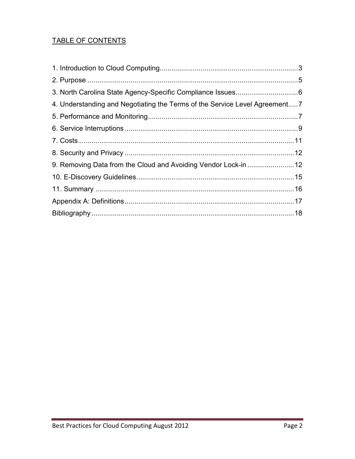## TABLE OF CONTENTS

| 4. Understanding and Negotiating the Terms of the Service Level Agreement 7 |  |
|-----------------------------------------------------------------------------|--|
|                                                                             |  |
|                                                                             |  |
|                                                                             |  |
|                                                                             |  |
|                                                                             |  |
|                                                                             |  |
|                                                                             |  |
|                                                                             |  |
|                                                                             |  |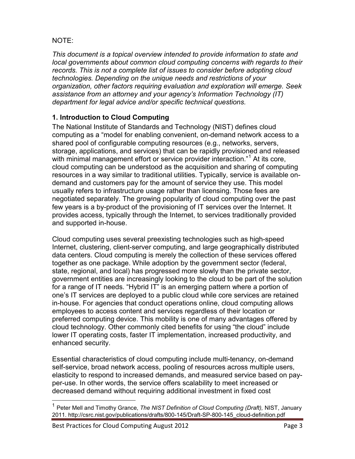## NOTE:

*This document is a topical overview intended to provide information to state and local governments about common cloud computing concerns with regards to their records. This is not a complete list of issues to consider before adopting cloud technologies. Depending on the unique needs and restrictions of your organization, other factors requiring evaluation and exploration will emerge. Seek assistance from an attorney and your agency's Information Technology (IT) department for legal advice and/or specific technical questions.* 

## <span id="page-2-0"></span>**1. Introduction to Cloud Computing**

The National Institute of Standards and Technology (NIST) defines cloud computing as a "model for enabling convenient, on-demand network access to a shared pool of configurable computing resources (e.g., networks, servers, storage, applications, and services) that can be rapidly provisioned and released with minimal management effort or service provider interaction."<sup>[1](#page-2-1)</sup> At its core, cloud computing can be understood as the acquisition and sharing of computing resources in a way similar to traditional utilities. Typically, service is available ondemand and customers pay for the amount of service they use. This model usually refers to infrastructure usage rather than licensing. Those fees are negotiated separately. The growing popularity of cloud computing over the past few years is a by-product of the provisioning of IT services over the Internet. It provides access, typically through the Internet, to services traditionally provided and supported in-house.

Cloud computing uses several preexisting technologies such as high-speed Internet, clustering, client-server computing, and large geographically distributed data centers. Cloud computing is merely the collection of these services offered together as one package. While adoption by the government sector (federal, state, regional, and local) has progressed more slowly than the private sector, government entities are increasingly looking to the cloud to be part of the solution for a range of IT needs. "Hybrid IT" is an emerging pattern where a portion of one's IT services are deployed to a public cloud while core services are retained in-house. For agencies that conduct operations online, cloud computing allows employees to access content and services regardless of their location or preferred computing device. This mobility is one of many advantages offered by cloud technology. Other commonly cited benefits for using "the cloud" include lower IT operating costs, faster IT implementation, increased productivity, and enhanced security.

Essential characteristics of cloud computing include multi-tenancy, on-demand self-service, broad network access, pooling of resources across multiple users, elasticity to respond to increased demands, and measured service based on payper-use. In other words, the service offers scalability to meet increased or decreased demand without requiring additional investment in fixed cost

Best Practices for Cloud Computing August 2012 **Page 3** Page 3

<span id="page-2-1"></span><sup>1</sup> Peter Mell and Timothy Grance, *The NIST Definition of Cloud Computing (Draft),* NIST, January 2011. http://csrc.nist.gov/publications/drafts/800-145/Draft-SP-800-145\_cloud-definition.pdf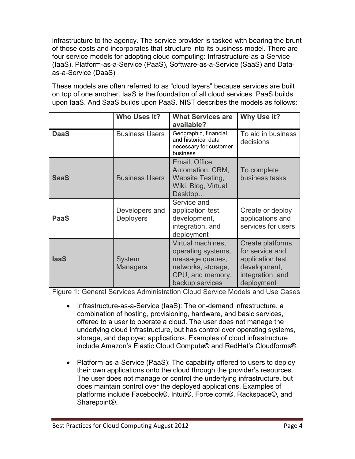infrastructure to the agency. The service provider is tasked with bearing the brunt of those costs and incorporates that structure into its business model. There are four service models for adopting cloud computing: Infrastructure-as-a-Service (IaaS), Platform-as-a-Service (PaaS), Software-as-a-Service (SaaS) and Dataas-a-Service (DaaS)

These models are often referred to as "cloud layers" because services are built on top of one another. IaaS is the foundation of all cloud services. PaaS builds upon IaaS. And SaaS builds upon PaaS. NIST describes the models as follows:

|             | Who Uses It?                       | <b>What Services are</b><br>available?                                                                                  | Why Use it?                                                                                                |
|-------------|------------------------------------|-------------------------------------------------------------------------------------------------------------------------|------------------------------------------------------------------------------------------------------------|
| <b>DaaS</b> | <b>Business Users</b>              | Geographic, financial,<br>and historical data<br>necessary for customer<br>business                                     | To aid in business<br>decisions                                                                            |
| <b>SaaS</b> | <b>Business Users</b>              | Email, Office<br>Automation, CRM,<br><b>Website Testing,</b><br>Wiki, Blog, Virtual<br>Desktop                          | To complete<br>business tasks                                                                              |
| <b>PaaS</b> | Developers and<br><b>Deployers</b> | Service and<br>application test,<br>development,<br>integration, and<br>deployment                                      | Create or deploy<br>applications and<br>services for users                                                 |
| <b>laaS</b> | System<br><b>Managers</b>          | Virtual machines,<br>operating systems,<br>message queues,<br>networks, storage,<br>CPU, and memory,<br>backup services | Create platforms<br>for service and<br>application test,<br>development,<br>integration, and<br>deployment |

Figure 1: General Services Administration Cloud Service Models and Use Cases

- Infrastructure-as-a-Service (IaaS): The on-demand infrastructure, a combination of hosting, provisioning, hardware, and basic services, offered to a user to operate a cloud. The user does not manage the underlying cloud infrastructure, but has control over operating systems, storage, and deployed applications. Examples of cloud infrastructure include Amazon's Elastic Cloud Compute© and RedHat's Cloudforms®.
- Platform-as-a-Service (PaaS): The capability offered to users to deploy their own applications onto the cloud through the provider's resources. The user does not manage or control the underlying infrastructure, but does maintain control over the deployed applications. Examples of platforms include Facebook©, Intuit©, Force.com®, Rackspace©, and Sharepoint®.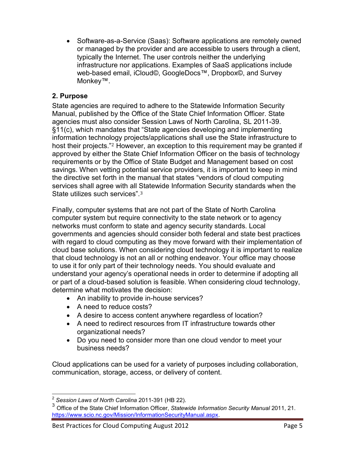• Software-as-a-Service (Saas): Software applications are remotely owned or managed by the provider and are accessible to users through a client, typically the Internet. The user controls neither the underlying infrastructure nor applications. Examples of SaaS applications include web-based email, iCloud©, GoogleDocs™, Dropbox©, and Survey Monkey™.

## <span id="page-4-0"></span>**2. Purpose**

State agencies are required to adhere to the Statewide Information Security Manual, published by the Office of the State Chief Information Officer. State agencies must also consider Session Laws of North Carolina, SL 2011-39. §11(c), which mandates that "State agencies developing and implementing information technol[o](#page-4-1)gy projects/applications shall use the State infrastructure to host their projects."<sup>2</sup> However, an exception to this requirement may be granted if approved by either the State Chief Information Officer on the basis of technology requirements or by the Office of State Budget and Management based on cost savings. When vetting potential service providers, it is important to keep in mind the directive set forth in the manual that states "vendors of cloud computing services shall agree with all [S](#page-4-2)tatewide Information Security standards when the State utilizes such services".<sup>3</sup>

Finally, computer systems that are not part of the State of North Carolina computer system but require connectivity to the state network or to agency networks must conform to state and agency security standards. Local governments and agencies should consider both federal and state best practices with regard to cloud computing as they move forward with their implementation of cloud base solutions. When considering cloud technology it is important to realize that cloud technology is not an all or nothing endeavor. Your office may choose to use it for only part of their technology needs. You should evaluate and understand your agency's operational needs in order to determine if adopting all or part of a cloud-based solution is feasible. When considering cloud technology, determine what motivates the decision:

- An inability to provide in-house services?
- A need to reduce costs?
- A desire to access content anywhere regardless of location?
- A need to redirect resources from IT infrastructure towards other organizational needs?
- Do you need to consider more than one cloud vendor to meet your business needs?

Cloud applications can be used for a variety of purposes including collaboration, communication, storage, access, or delivery of content.

<span id="page-4-1"></span><sup>2</sup> *Session Laws of North Carolina* 2011-391 (HB 22).

<span id="page-4-2"></span><sup>3</sup> Office of the State Chief Information Officer, *Statewide Information Security Manual* 2011, 21. [https://www.scio.nc.gov/Mission/InformationSecurityManual.aspx.](https://www.scio.nc.gov/Mission/InformationSecurityManual.aspx)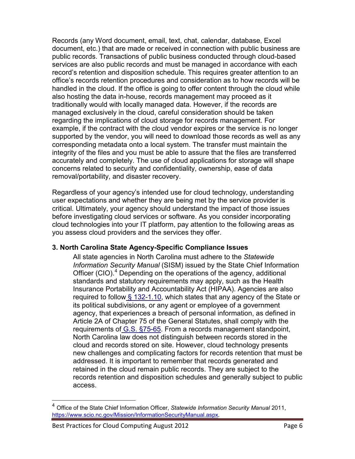Records (any Word document, email, text, chat, calendar, database, Excel document, etc.) that are made or received in connection with public business are public records. Transactions of public business conducted through cloud-based services are also public records and must be managed in accordance with each record's retention and disposition schedule. This requires greater attention to an office's records retention procedures and consideration as to how records will be handled in the cloud. If the office is going to offer content through the cloud while also hosting the data in-house, records management may proceed as it traditionally would with locally managed data. However, if the records are managed exclusively in the cloud, careful consideration should be taken regarding the implications of cloud storage for records management. For example, if the contract with the cloud vendor expires or the service is no longer supported by the vendor, you will need to download those records as well as any corresponding metadata onto a local system. The transfer must maintain the integrity of the files and you must be able to assure that the files are transferred accurately and completely. The use of cloud applications for storage will shape concerns related to security and confidentiality, ownership, ease of data removal/portability, and disaster recovery.

Regardless of your agency's intended use for cloud technology, understanding user expectations and whether they are being met by the service provider is critical. Ultimately, your agency should understand the impact of those issues before investigating cloud services or software. As you consider incorporating cloud technologies into your IT platform, pay attention to the following areas as you assess cloud providers and the services they offer.

#### <span id="page-5-0"></span>**3. North Carolina State Agency-Specific Compliance Issues**

All state agencies in North Carolina must adhere to the *Statewide Information Security Manual* (SISM) issued by the State Chief Information Officer (CIO).<sup>[4](#page-5-1)</sup> Depending on the operations of the agency, additional standards and statutory requirements may apply, such as the Health Insurance Portability and Accountability Act (HIPAA). Agencies are also required to follow [§ 132-1.10,](https://sn2prd0302.outlook.com/owa/redir.aspx?C=9JNiezwOOk2eFHPDqs29bEGOKgCync4IkXw9sw0VP4BsnNz5LzMoYAtAefVuPN1MDwakptuloC0.&URL=http%3a%2f%2fwww.ncleg.net%2fenactedlegislation%2fstatutes%2fhtml%2fbychapter%2fchapter_132.html) which states that any agency of the State or its political subdivisions, or any agent or employee of a government agency, that experiences a breach of personal information, as defined in Article 2A of Chapter 75 of the General Statutes, shall comply with the requirements of [G.S. §75-65.](https://sn2prd0302.outlook.com/owa/redir.aspx?C=9JNiezwOOk2eFHPDqs29bEGOKgCync4IkXw9sw0VP4BsnNz5LzMoYAtAefVuPN1MDwakptuloC0.&URL=http%3a%2f%2fwww.ncga.state.nc.us%2fEnactedLegislation%2fStatutes%2fHTML%2fBySection%2fChapter_75%2fGS_75-65.html) From a records management standpoint, North Carolina law does not distinguish between records stored in the cloud and records stored on site. However, cloud technology presents new challenges and complicating factors for records retention that must be addressed. It is important to remember that records generated and retained in the cloud remain public records. They are subject to the records retention and disposition schedules and generally subject to public access.

<span id="page-5-1"></span><sup>4</sup> Office of the State Chief Information Officer, *Statewide Information Security Manual* 2011, <https://www.scio.nc.gov/Mission/InformationSecurityManual.aspx>.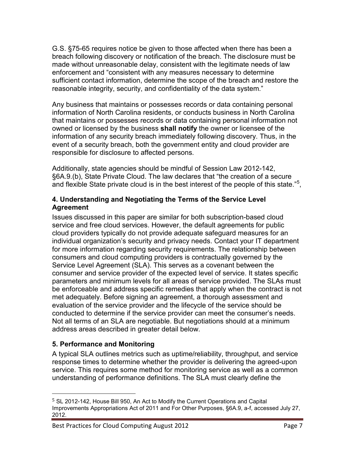G.S. §75-65 requires notice be given to those affected when there has been a breach following discovery or notification of the breach. The disclosure must be made without unreasonable delay, consistent with the legitimate needs of law enforcement and "consistent with any measures necessary to determine sufficient contact information, determine the scope of the breach and restore the reasonable integrity, security, and confidentiality of the data system."

Any business that maintains or possesses records or data containing personal information of North Carolina residents, or conducts business in North Carolina that maintains or possesses records or data containing personal information not owned or licensed by the business **shall notify** the owner or licensee of the information of any security breach immediately following discovery. Thus, in the event of a security breach, both the government entity and cloud provider are responsible for disclosure to affected persons.

Additionally, state agencies should be mindful of Session Law 2012-142, §6A.9.(b), State Private Cloud. The law declares that "the creation of a secure and flexible State private cloud is in the best interest of the people of this state."<sup>[5](#page-6-2)</sup>,

#### <span id="page-6-0"></span>**4. Understanding and Negotiating the Terms of the Service Level Agreement**

Issues discussed in this paper are similar for both subscription-based cloud service and free cloud services. However, the default agreements for public cloud providers typically do not provide adequate safeguard measures for an individual organization's security and privacy needs. Contact your IT department for more information regarding security requirements. The relationship between consumers and cloud computing providers is contractually governed by the Service Level Agreement (SLA). This serves as a covenant between the consumer and service provider of the expected level of service. It states specific parameters and minimum levels for all areas of service provided. The SLAs must be enforceable and address specific remedies that apply when the contract is not met adequately. Before signing an agreement, a thorough assessment and evaluation of the service provider and the lifecycle of the service should be conducted to determine if the service provider can meet the consumer's needs. Not all terms of an SLA are negotiable. But negotiations should at a minimum address areas described in greater detail below.

## <span id="page-6-1"></span>**5. Performance and Monitoring**

A typical SLA outlines metrics such as uptime/reliability, throughput, and service response times to determine whether the provider is delivering the agreed-upon service. This requires some method for monitoring service as well as a common understanding of performance definitions. The SLA must clearly define the

<span id="page-6-2"></span> <sup>5</sup> SL 2012-142, House Bill 950, An Act to Modify the Current Operations and Capital Improvements Appropriations Act of 2011 and For Other Purposes, §6A.9, a-f, accessed July 27, 2012.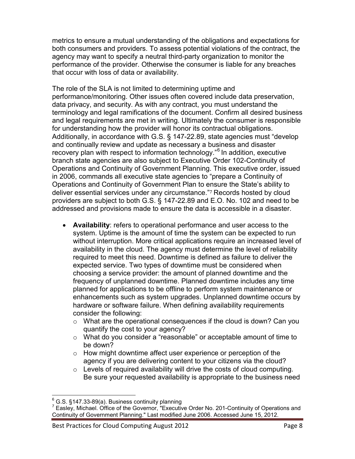metrics to ensure a mutual understanding of the obligations and expectations for both consumers and providers. To assess potential violations of the contract, the agency may want to specify a neutral third-party organization to monitor the performance of the provider. Otherwise the consumer is liable for any breaches that occur with loss of data or availability.

The role of the SLA is not limited to determining uptime and performance/monitoring. Other issues often covered include data preservation, data privacy, and security. As with any contract, you must understand the terminology and legal ramifications of the document. Confirm all desired business and legal requirements are met in writing. Ultimately the consumer is responsible for understanding how the provider will honor its contractual obligations. Additionally, in accordance with G.S. § 147-22.89, state agencies must "develop and continually review and update as necessary a business and disaster recovery plan with respect to information technology."<sup>[6](#page-7-0)</sup> In addition, executive branch state agencies are also subject to Executive Order 102-Continuity of Operations and Continuity of Government Planning. This executive order, issued in 2006, commands all executive state agencies to "prepare a Continuity of Operations and Continuity of Government Plan to [en](#page-7-1)sure the State's ability to deliver essential services under any circumstance."<sup>7</sup> Records hosted by cloud providers are subject to both G.S. § 147-22.89 and E.O. No. 102 and need to be addressed and provisions made to ensure the data is accessible in a disaster.

- **Availability**: refers to operational performance and user access to the system. Uptime is the amount of time the system can be expected to run without interruption. More critical applications require an increased level of availability in the cloud. The agency must determine the level of reliability required to meet this need. Downtime is defined as failure to deliver the expected service. Two types of downtime must be considered when choosing a service provider: the amount of planned downtime and the frequency of unplanned downtime. Planned downtime includes any time planned for applications to be offline to perform system maintenance or enhancements such as system upgrades. Unplanned downtime occurs by hardware or software failure. When defining availability requirements consider the following:
	- $\circ$  What are the operational consequences if the cloud is down? Can you quantify the cost to your agency?
	- o What do you consider a "reasonable" or acceptable amount of time to be down?
	- o How might downtime affect user experience or perception of the agency if you are delivering content to your citizens via the cloud?
	- o Levels of required availability will drive the costs of cloud computing. Be sure your requested availability is appropriate to the business need

<span id="page-7-1"></span><span id="page-7-0"></span>

 $6$  G.S. §147.33-89(a). Business continuity planning<br><sup>7</sup> Easley, Michael. Office of the Governor, "Executive Order No. 201-Continuity of Operations and Continuity of Government Planning." Last modified June 2006. Accessed June 15, 2012.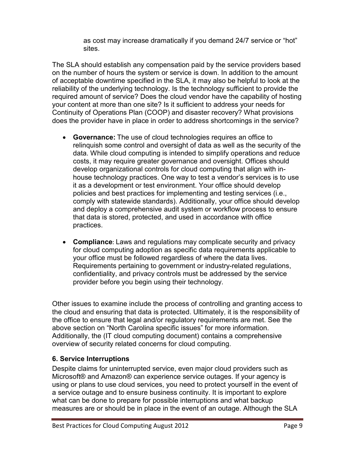as cost may increase dramatically if you demand 24/7 service or "hot" sites.

The SLA should establish any compensation paid by the service providers based on the number of hours the system or service is down. In addition to the amount of acceptable downtime specified in the SLA, it may also be helpful to look at the reliability of the underlying technology. Is the technology sufficient to provide the required amount of service? Does the cloud vendor have the capability of hosting your content at more than one site? Is it sufficient to address your needs for Continuity of Operations Plan (COOP) and disaster recovery? What provisions does the provider have in place in order to address shortcomings in the service?

- **Governance:** The use of cloud technologies requires an office to relinquish some control and oversight of data as well as the security of the data. While cloud computing is intended to simplify operations and reduce costs, it may require greater governance and oversight. Offices should develop organizational controls for cloud computing that align with inhouse technology practices. One way to test a vendor's services is to use it as a development or test environment. Your office should develop policies and best practices for implementing and testing services (i.e., comply with statewide standards). Additionally, your office should develop and deploy a comprehensive audit system or workflow process to ensure that data is stored, protected, and used in accordance with office practices.
- **Compliance**: Laws and regulations may complicate security and privacy for cloud computing adoption as specific data requirements applicable to your office must be followed regardless of where the data lives. Requirements pertaining to government or industry-related regulations, confidentiality, and privacy controls must be addressed by the service provider before you begin using their technology.

Other issues to examine include the process of controlling and granting access to the cloud and ensuring that data is protected. Ultimately, it is the responsibility of the office to ensure that legal and/or regulatory requirements are met. See the above section on "North Carolina specific issues" for more information. Additionally, the (IT cloud computing document) contains a comprehensive overview of security related concerns for cloud computing.

## <span id="page-8-0"></span>**6. Service Interruptions**

Despite claims for uninterrupted service, even major cloud providers such as Microsoft® and Amazon® can experience service outages. If your agency is using or plans to use cloud services, you need to protect yourself in the event of a service outage and to ensure business continuity. It is important to explore what can be done to prepare for possible interruptions and what backup measures are or should be in place in the event of an outage. Although the SLA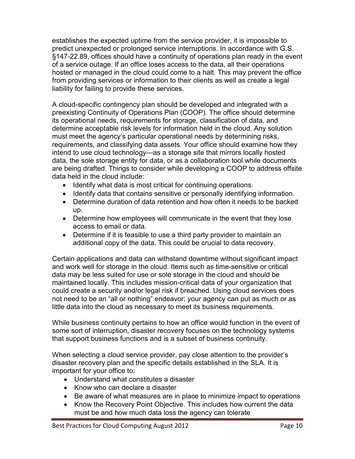establishes the expected uptime from the service provider, it is impossible to predict unexpected or prolonged service interruptions. In accordance with G.S. §147-22.89, offices should have a continuity of operations plan ready in the event of a service outage. If an office loses access to the data, all their operations hosted or managed in the cloud could come to a halt. This may prevent the office from providing services or information to their clients as well as create a legal liability for failing to provide these services.

A cloud-specific contingency plan should be developed and integrated with a preexisting Continuity of Operations Plan (COOP). The office should determine its operational needs, requirements for storage, classification of data, and determine acceptable risk levels for information held in the cloud. Any solution must meet the agency's particular operational needs by determining risks, requirements, and classifying data assets. Your office should examine how they intend to use cloud technology—as a storage site that mirrors locally hosted data, the sole storage entity for data, or as a collaboration tool while documents are being drafted. Things to consider while developing a COOP to address offsite data held in the cloud include:

- Identify what data is most critical for continuing operations.
- Identify data that contains sensitive or personally identifying information.
- Determine duration of data retention and how often it needs to be backed up.
- Determine how employees will communicate in the event that they lose access to email or data.
- Determine if it is feasible to use a third party provider to maintain an additional copy of the data. This could be crucial to data recovery.

Certain applications and data can withstand downtime without significant impact and work well for storage in the cloud. Items such as time-sensitive or critical data may be less suited for use or sole storage in the cloud and should be maintained locally. This includes mission-critical data of your organization that could create a security and/or legal risk if breached. Using cloud services does not need to be an "all or nothing" endeavor; your agency can put as much or as little data into the cloud as necessary to meet its business requirements.

While business continuity pertains to how an office would function in the event of some sort of interruption, disaster recovery focuses on the technology systems that support business functions and is a subset of business continuity.

When selecting a cloud service provider, pay close attention to the provider's disaster recovery plan and the specific details established in the SLA. It is important for your office to:

- Understand what constitutes a disaster
- Know who can declare a disaster
- Be aware of what measures are in place to minimize impact to operations
- Know the Recovery Point Objective. This includes how current the data must be and how much data loss the agency can tolerate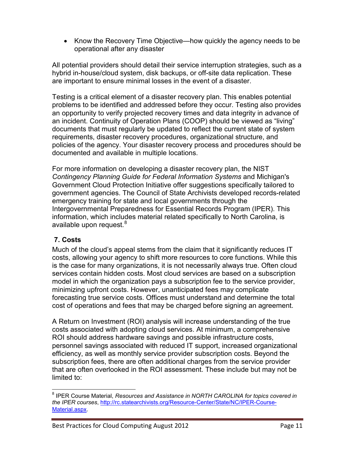• Know the Recovery Time Objective—how quickly the agency needs to be operational after any disaster

All potential providers should detail their service interruption strategies, such as a hybrid in-house/cloud system, disk backups, or off-site data replication. These are important to ensure minimal losses in the event of a disaster.

Testing is a critical element of a disaster recovery plan. This enables potential problems to be identified and addressed before they occur. Testing also provides an opportunity to verify projected recovery times and data integrity in advance of an incident. Continuity of Operation Plans (COOP) should be viewed as "living" documents that must regularly be updated to reflect the current state of system requirements, disaster recovery procedures, organizational structure, and policies of the agency. Your disaster recovery process and procedures should be documented and available in multiple locations.

For more information on developing a disaster recovery plan, the NIST *Contingency Planning Guide for Federal Information Systems* and Michigan's Government Cloud Protection Initiative offer suggestions specifically tailored to government agencies. The Council of State Archivists developed records-related emergency training for state and local governments through the Intergovernmental Preparedness for Essential Records Program (IPER). This information, which includes material related specifically to North Carolina, is available upon request. $^8$  $^8$ 

#### <span id="page-10-0"></span>**7. Costs**

Much of the cloud's appeal stems from the claim that it significantly reduces IT costs, allowing your agency to shift more resources to core functions. While this is the case for many organizations, it is not necessarily always true. Often cloud services contain hidden costs. Most cloud services are based on a subscription model in which the organization pays a subscription fee to the service provider, minimizing upfront costs. However, unanticipated fees may complicate forecasting true service costs. Offices must understand and determine the total cost of operations and fees that may be charged before signing an agreement.

A Return on Investment (ROI) analysis will increase understanding of the true costs associated with adopting cloud services. At minimum, a comprehensive ROI should address hardware savings and possible infrastructure costs, personnel savings associated with reduced IT support, increased organizational efficiency, as well as monthly service provider subscription costs. Beyond the subscription fees, there are often additional charges from the service provider that are often overlooked in the ROI assessment. These include but may not be limited to:

<span id="page-10-1"></span><sup>8</sup> IPER Course Material, *Resources and Assistance in NORTH CAROLINA for topics covered in the IPER courses*, [http://rc.statearchivists.org/Resource-Center/State/NC/IPER-Course-](http://rc.statearchivists.org/Resource-Center/State/NC/IPER-Course-Material.aspx)[Material.aspx.](http://rc.statearchivists.org/Resource-Center/State/NC/IPER-Course-Material.aspx)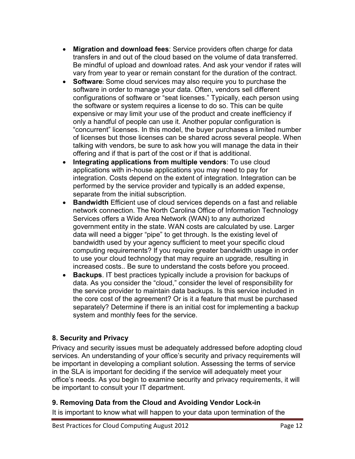- **Migration and download fees**: Service providers often charge for data transfers in and out of the cloud based on the volume of data transferred. Be mindful of upload and download rates. And ask your vendor if rates will vary from year to year or remain constant for the duration of the contract.
- **Software**: Some cloud services may also require you to purchase the software in order to manage your data. Often, vendors sell different configurations of software or "seat licenses." Typically, each person using the software or system requires a license to do so. This can be quite expensive or may limit your use of the product and create inefficiency if only a handful of people can use it. Another popular configuration is "concurrent" licenses. In this model, the buyer purchases a limited number of licenses but those licenses can be shared across several people. When talking with vendors, be sure to ask how you will manage the data in their offering and if that is part of the cost or if that is additional.
- **Integrating applications from multiple vendors**: To use cloud applications with in-house applications you may need to pay for integration. Costs depend on the extent of integration. Integration can be performed by the service provider and typically is an added expense, separate from the initial subscription.
- **Bandwidth** Efficient use of cloud services depends on a fast and reliable network connection. The North Carolina Office of Information Technology Services offers a Wide Area Network (WAN) to any authorized government entity in the state. WAN costs are calculated by use. Larger data will need a bigger "pipe" to get through. Is the existing level of bandwidth used by your agency sufficient to meet your specific cloud computing requirements? If you require greater bandwidth usage in order to use your cloud technology that may require an upgrade, resulting in increased costs.. Be sure to understand the costs before you proceed.
- **Backups**. IT best practices typically include a provision for backups of data. As you consider the "cloud," consider the level of responsibility for the service provider to maintain data backups. Is this service included in the core cost of the agreement? Or is it a feature that must be purchased separately? Determine if there is an initial cost for implementing a backup system and monthly fees for the service.

## <span id="page-11-0"></span>**8. Security and Privacy**

Privacy and security issues must be adequately addressed before adopting cloud services. An understanding of your office's security and privacy requirements will be important in developing a compliant solution. Assessing the terms of service in the SLA is important for deciding if the service will adequately meet your office's needs. As you begin to examine security and privacy requirements, it will be important to consult your IT department.

#### <span id="page-11-1"></span>**9. Removing Data from the Cloud and Avoiding Vendor Lock-in**

It is important to know what will happen to your data upon termination of the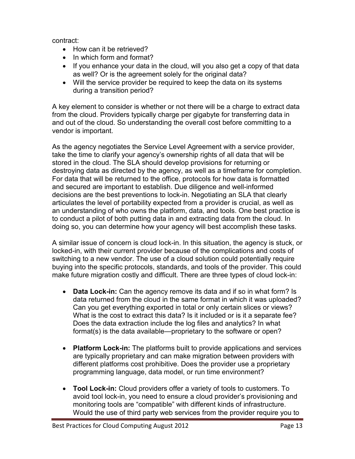contract:

- How can it be retrieved?
- In which form and format?
- If you enhance your data in the cloud, will you also get a copy of that data as well? Or is the agreement solely for the original data?
- Will the service provider be required to keep the data on its systems during a transition period?

A key element to consider is whether or not there will be a charge to extract data from the cloud. Providers typically charge per gigabyte for transferring data in and out of the cloud. So understanding the overall cost before committing to a vendor is important.

As the agency negotiates the Service Level Agreement with a service provider, take the time to clarify your agency's ownership rights of all data that will be stored in the cloud. The SLA should develop provisions for returning or destroying data as directed by the agency, as well as a timeframe for completion. For data that will be returned to the office, protocols for how data is formatted and secured are important to establish. Due diligence and well-informed decisions are the best preventions to lock-in. Negotiating an SLA that clearly articulates the level of portability expected from a provider is crucial, as well as an understanding of who owns the platform, data, and tools. One best practice is to conduct a pilot of both putting data in and extracting data from the cloud. In doing so, you can determine how your agency will best accomplish these tasks.

A similar issue of concern is cloud lock-in. In this situation, the agency is stuck, or locked-in, with their current provider because of the complications and costs of switching to a new vendor. The use of a cloud solution could potentially require buying into the specific protocols, standards, and tools of the provider. This could make future migration costly and difficult. There are three types of cloud lock-in:

- **Data Lock-in:** Can the agency remove its data and if so in what form? Is data returned from the cloud in the same format in which it was uploaded? Can you get everything exported in total or only certain slices or views? What is the cost to extract this data? Is it included or is it a separate fee? Does the data extraction include the log files and analytics? In what format(s) is the data available—proprietary to the software or open?
- **Platform Lock-in:** The platforms built to provide applications and services are typically proprietary and can make migration between providers with different platforms cost prohibitive. Does the provider use a proprietary programming language, data model, or run time environment?
- **Tool Lock-in:** Cloud providers offer a variety of tools to customers. To avoid tool lock-in, you need to ensure a cloud provider's provisioning and monitoring tools are "compatible" with different kinds of infrastructure. Would the use of third party web services from the provider require you to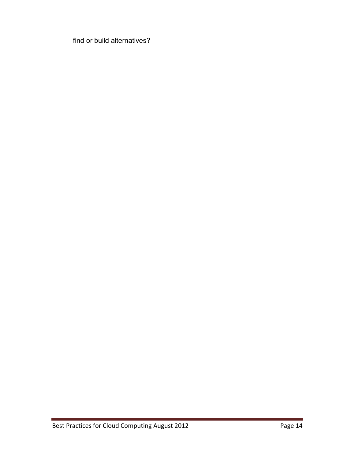<span id="page-13-0"></span>find or build alternatives?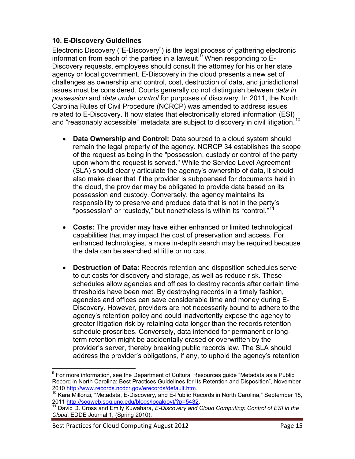## **10. E-Discovery Guidelines**

Electronic Discovery ("E-Discovery") is the legal process of gathering electronic information from each of the parties in a lawsuit.<sup>[9](#page-14-0)</sup> When responding to E-Discovery requests, employees should consult the attorney for his or her state agency or local government. E-Discovery in the cloud presents a new set of challenges as ownership and control, cost, destruction of data, and jurisdictional issues must be considered. Courts generally do not distinguish between *data in possession* and *data under control* for purposes of discovery. In 2011, the North Carolina Rules of Civil Procedure (NCRCP) was amended to address issues related to E-Discovery. It now states that electronically stored information (ESI) and "reasonably accessible" metadata are subject to discovery in civil litigation.<sup>[10](#page-14-1)</sup>

- **Data Ownership and Control:** Data sourced to a cloud system should remain the legal property of the agency. NCRCP 34 establishes the scope of the request as being in the "possession, custody or control of the party upon whom the request is served." While the Service Level Agreement (SLA) should clearly articulate the agency's ownership of data, it should also make clear that if the provider is subpoenaed for documents held in the cloud, the provider may be obligated to provide data based on its possession and custody. Conversely, the agency maintains its responsibility to preserve and produce data that is not in the party's "possession" or "custody," but nonetheless is within its "control."<sup>[11](#page-14-2)</sup>
- **Costs:** The provider may have either enhanced or limited technological capabilities that may impact the cost of preservation and access. For enhanced technologies, a more in-depth search may be required because the data can be searched at little or no cost.
- **Destruction of Data:** Records retention and disposition schedules serve to cut costs for discovery and storage, as well as reduce risk. These schedules allow agencies and offices to destroy records after certain time thresholds have been met. By destroying records in a timely fashion, agencies and offices can save considerable time and money during E-Discovery. However, providers are not necessarily bound to adhere to the agency's retention policy and could inadvertently expose the agency to greater litigation risk by retaining data longer than the records retention schedule proscribes. Conversely, data intended for permanent or longterm retention might be accidentally erased or overwritten by the provider's server, thereby breaking public records law. The SLA should address the provider's obligations, if any, to uphold the agency's retention

<span id="page-14-0"></span> $9$  For more information, see the Department of Cultural Resources guide "Metadata as a Public Record in North Carolina: Best Practices Guidelines for Its Retention and Disposition", November<br>2010 http://www.records.ncdcr.gov/erecords/default.htm.

<span id="page-14-1"></span><sup>2010</sup> **http://www.records.ncdcr.gov/erecords.ncm. 10** Kara Morth Carolina," September 15, 2011 [http://sogweb.sog.unc.edu/blogs/localgovt/?p=5432.](http://sogweb.sog.unc.edu/blogs/localgovt/?p=5432)<br><sup>11</sup> David D. Cross and Emily Kuwahara, *E-Discovery and Cloud Computing: Control of ESI in the* 

<span id="page-14-2"></span>*Cloud*, EDDE Journal 1, (Spring 2010).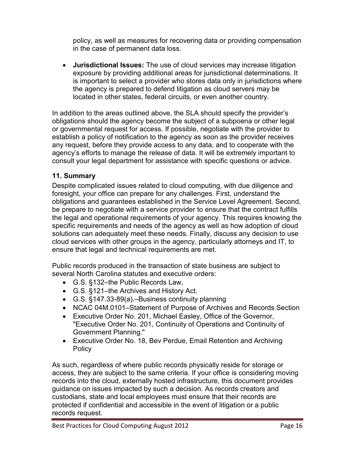policy, as well as measures for recovering data or providing compensation in the case of permanent data loss.

• **Jurisdictional Issues:** The use of cloud services may increase litigation exposure by providing additional areas for jurisdictional determinations. It is important to select a provider who stores data only in jurisdictions where the agency is prepared to defend litigation as cloud servers may be located in other states, federal circuits, or even another country.

In addition to the areas outlined above, the SLA should specify the provider's obligations should the agency become the subject of a subpoena or other legal or governmental request for access. If possible, negotiate with the provider to establish a policy of notification to the agency as soon as the provider receives any request, before they provide access to any data, and to cooperate with the agency's efforts to manage the release of data. It will be extremely important to consult your legal department for assistance with specific questions or advice.

## <span id="page-15-0"></span>**11. Summary**

Despite complicated issues related to cloud computing, with due diligence and foresight, your office can prepare for any challenges. First, understand the obligations and guarantees established in the Service Level Agreement. Second, be prepare to negotiate with a service provider to ensure that the contract fulfills the legal and operational requirements of your agency. This requires knowing the specific requirements and needs of the agency as well as how adoption of cloud solutions can adequately meet these needs. Finally, discuss any decision to use cloud services with other groups in the agency, particularly attorneys and IT, to ensure that legal and technical requirements are met.

Public records produced in the transaction of state business are subject to several North Carolina statutes and executive orders:

- G.S. §132–the Public Records Law,
- G.S. §121–the Archives and History Act.
- G.S. §147.33-89(a).–Business continuity planning
- NCAC 04M.0101–Statement of Purpose of Archives and Records Section
- Executive Order No. 201, Michael Easley, Office of the Governor, "Executive Order No. 201, Continuity of Operations and Continuity of Government Planning."
- Executive Order No. 18, Bev Perdue, Email Retention and Archiving Policy

As such, regardless of where public records physically reside for storage or access, they are subject to the same criteria. If your office is considering moving records into the cloud, externally hosted infrastructure, this document provides guidance on issues impacted by such a decision. As records creators and custodians, state and local employees must ensure that their records are protected if confidential and accessible in the event of litigation or a public records request.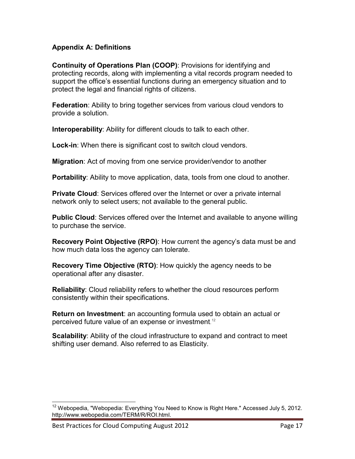#### <span id="page-16-0"></span>**Appendix A: Definitions**

**Continuity of Operations Plan (COOP)**: Provisions for identifying and protecting records, along with implementing a vital records program needed to support the office's essential functions during an emergency situation and to protect the legal and financial rights of citizens.

**Federation**: Ability to bring together services from various cloud vendors to provide a solution.

**Interoperability**: Ability for different clouds to talk to each other.

**Lock-in**: When there is significant cost to switch cloud vendors.

**Migration**: Act of moving from one service provider/vendor to another

**Portability**: Ability to move application, data, tools from one cloud to another.

**Private Cloud**: Services offered over the Internet or over a private internal network only to select users; not available to the general public.

**Public Cloud**: Services offered over the Internet and available to anyone willing to purchase the service.

**Recovery Point Objective (RPO)**: How current the agency's data must be and how much data loss the agency can tolerate.

**Recovery Time Objective (RTO)**: How quickly the agency needs to be operational after any disaster.

**Reliability**: Cloud reliability refers to whether the cloud resources perform consistently within their specifications.

**Return on Investment**: an accounting formula used to obtain an actual or perceived future value of an expense or investment. [12](#page-16-1)

**Scalability**: Ability of the cloud infrastructure to expand and contract to meet shifting user demand. Also referred to as Elasticity.

<span id="page-16-1"></span><sup>&</sup>lt;sup>12</sup> Webopedia, "Webopedia: Everything You Need to Know is Right Here." Accessed July 5, 2012. http://www.webopedia.com/TERM/R/ROI.html.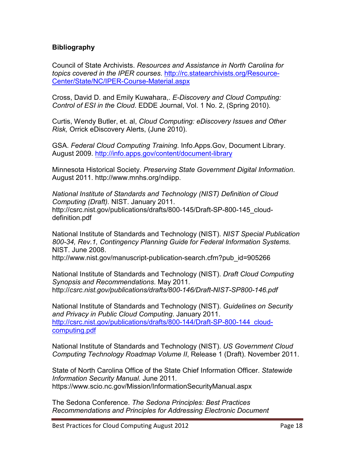#### <span id="page-17-0"></span>**Bibliography**

Council of State Archivists. *Resources and Assistance in North Carolina for topics covered in the IPER courses*. [http://rc.statearchivists.org/Resource-](http://rc.statearchivists.org/Resource-Center/State/NC/IPER-Course-Material.aspx)[Center/State/NC/IPER-Course-Material.aspx](http://rc.statearchivists.org/Resource-Center/State/NC/IPER-Course-Material.aspx)

Cross, David D. and Emily Kuwahara,. *E-Discovery and Cloud Computing: Control of ESI in the Cloud*. EDDE Journal, Vol. 1 No. 2, (Spring 2010).

Curtis, Wendy Butler, et. al, *Cloud Computing: eDiscovery Issues and Other Risk,* Orrick eDiscovery Alerts, (June 2010).

GSA. *Federal Cloud Computing Training*. Info.Apps.Gov, Document Library. August 2009.<http://info.apps.gov/content/document-library>

Minnesota Historical Society*. Preserving State Government Digital Information*. August 2011. http://www.mnhs.org/ndiipp.

*National Institute of Standards and Technology (NIST) Definition of Cloud Computing (Draft).* NIST. January 2011. http://csrc.nist.gov/publications/drafts/800-145/Draft-SP-800-145\_clouddefinition.pdf

National Institute of Standards and Technology (NIST). *NIST Special Publication 800-34, Rev.1, Contingency Planning Guide for Federal Information Systems*. NIST. June 2008.

http://www.nist.gov/manuscript-publication-search.cfm?pub\_id=905266

National Institute of Standards and Technology (NIST). *Draft Cloud Computing Synopsis and Recommendations*. May 2011. http://*csrc.nist.gov/publications/drafts/800-146/Draft-NIST-SP800-146.pdf*

National Institute of Standards and Technology (NIST). *Guidelines on Security and Privacy in Public Cloud Computing*. January 2011. [http://csrc.nist.gov/publications/drafts/800-144/Draft-SP-800-144\\_cloud](http://csrc.nist.gov/publications/drafts/800-144/Draft-SP-800-144_cloud-computing.pdf)[computing.pdf](http://csrc.nist.gov/publications/drafts/800-144/Draft-SP-800-144_cloud-computing.pdf)

National Institute of Standards and Technology (NIST). *US Government Cloud Computing Technology Roadmap Volume II*, Release 1 (Draft). November 2011.

State of North Carolina Office of the State Chief Information Officer. *Statewide Information Security Manual.* June 2011*.*  https://www.scio.nc.gov/Mission/InformationSecurityManual.aspx

The Sedona Conference. *The Sedona Principles: Best Practices Recommendations and Principles for Addressing Electronic Document*